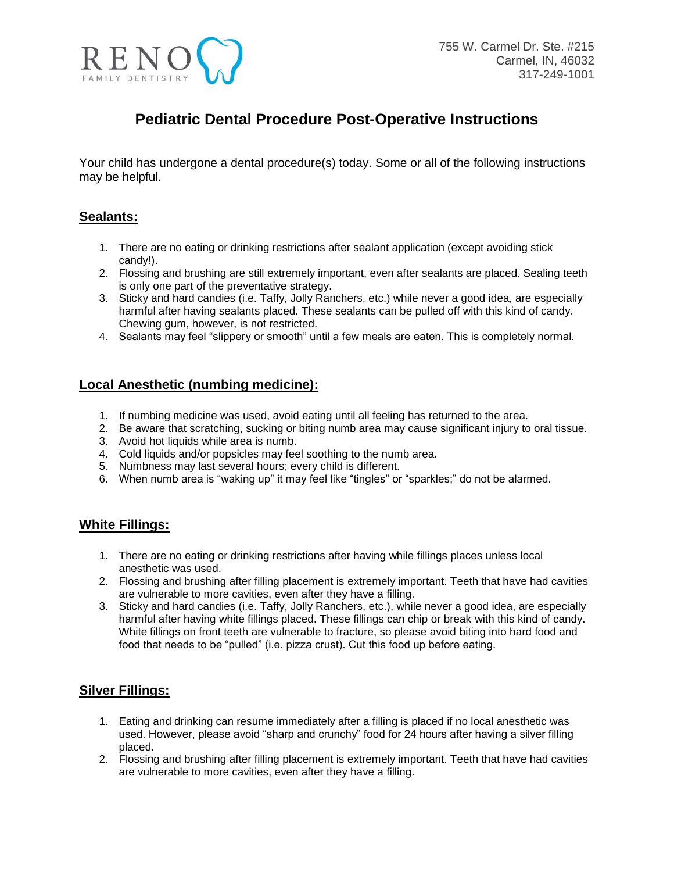

# **Pediatric Dental Procedure Post-Operative Instructions**

Your child has undergone a dental procedure(s) today. Some or all of the following instructions may be helpful.

## **Sealants:**

- 1. There are no eating or drinking restrictions after sealant application (except avoiding stick candy!).
- 2. Flossing and brushing are still extremely important, even after sealants are placed. Sealing teeth is only one part of the preventative strategy.
- 3. Sticky and hard candies (i.e. Taffy, Jolly Ranchers, etc.) while never a good idea, are especially harmful after having sealants placed. These sealants can be pulled off with this kind of candy. Chewing gum, however, is not restricted.
- 4. Sealants may feel "slippery or smooth" until a few meals are eaten. This is completely normal.

## **Local Anesthetic (numbing medicine):**

- 1. If numbing medicine was used, avoid eating until all feeling has returned to the area.
- 2. Be aware that scratching, sucking or biting numb area may cause significant injury to oral tissue.
- 3. Avoid hot liquids while area is numb.
- 4. Cold liquids and/or popsicles may feel soothing to the numb area.
- 5. Numbness may last several hours; every child is different.
- 6. When numb area is "waking up" it may feel like "tingles" or "sparkles;" do not be alarmed.

### **White Fillings:**

- 1. There are no eating or drinking restrictions after having while fillings places unless local anesthetic was used.
- 2. Flossing and brushing after filling placement is extremely important. Teeth that have had cavities are vulnerable to more cavities, even after they have a filling.
- 3. Sticky and hard candies (i.e. Taffy, Jolly Ranchers, etc.), while never a good idea, are especially harmful after having white fillings placed. These fillings can chip or break with this kind of candy. White fillings on front teeth are vulnerable to fracture, so please avoid biting into hard food and food that needs to be "pulled" (i.e. pizza crust). Cut this food up before eating.

#### **Silver Fillings:**

- 1. Eating and drinking can resume immediately after a filling is placed if no local anesthetic was used. However, please avoid "sharp and crunchy" food for 24 hours after having a silver filling placed.
- 2. Flossing and brushing after filling placement is extremely important. Teeth that have had cavities are vulnerable to more cavities, even after they have a filling.